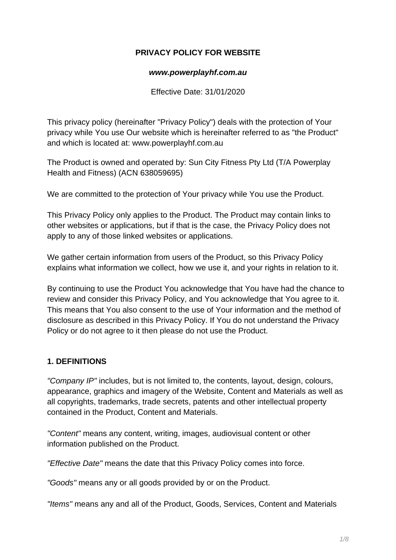### **PRIVACY POLICY FOR WEBSITE**

#### **www.powerplayhf.com.au**

Effective Date: 31/01/2020

This privacy policy (hereinafter "Privacy Policy") deals with the protection of Your privacy while You use Our website which is hereinafter referred to as "the Product" and which is located at: www.powerplayhf.com.au

The Product is owned and operated by: Sun City Fitness Pty Ltd (T/A Powerplay Health and Fitness) (ACN 638059695)

We are committed to the protection of Your privacy while You use the Product.

This Privacy Policy only applies to the Product. The Product may contain links to other websites or applications, but if that is the case, the Privacy Policy does not apply to any of those linked websites or applications.

We gather certain information from users of the Product, so this Privacy Policy explains what information we collect, how we use it, and your rights in relation to it.

By continuing to use the Product You acknowledge that You have had the chance to review and consider this Privacy Policy, and You acknowledge that You agree to it. This means that You also consent to the use of Your information and the method of disclosure as described in this Privacy Policy. If You do not understand the Privacy Policy or do not agree to it then please do not use the Product.

### **1. DEFINITIONS**

"Company IP" includes, but is not limited to, the contents, layout, design, colours, appearance, graphics and imagery of the Website, Content and Materials as well as all copyrights, trademarks, trade secrets, patents and other intellectual property contained in the Product, Content and Materials.

"Content" means any content, writing, images, audiovisual content or other information published on the Product.

"Effective Date" means the date that this Privacy Policy comes into force.

"Goods" means any or all goods provided by or on the Product.

"Items" means any and all of the Product, Goods, Services, Content and Materials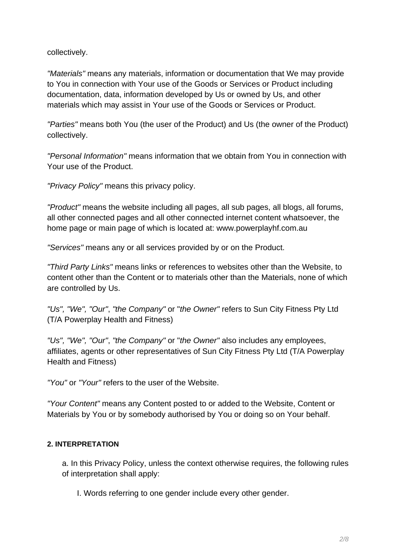collectively.

"Materials" means any materials, information or documentation that We may provide to You in connection with Your use of the Goods or Services or Product including documentation, data, information developed by Us or owned by Us, and other materials which may assist in Your use of the Goods or Services or Product.

"Parties" means both You (the user of the Product) and Us (the owner of the Product) collectively.

"Personal Information" means information that we obtain from You in connection with Your use of the Product.

"Privacy Policy" means this privacy policy.

"Product" means the website including all pages, all sub pages, all blogs, all forums, all other connected pages and all other connected internet content whatsoever, the home page or main page of which is located at: www.powerplayhf.com.au

"Services" means any or all services provided by or on the Product.

"Third Party Links" means links or references to websites other than the Website, to content other than the Content or to materials other than the Materials, none of which are controlled by Us.

"Us", "We", "Our", "the Company" or "the Owner" refers to Sun City Fitness Pty Ltd (T/A Powerplay Health and Fitness)

"Us", "We", "Our", "the Company" or "the Owner" also includes any employees, affiliates, agents or other representatives of Sun City Fitness Pty Ltd (T/A Powerplay Health and Fitness)

"You" or "Your" refers to the user of the Website.

"Your Content" means any Content posted to or added to the Website, Content or Materials by You or by somebody authorised by You or doing so on Your behalf.

### **2. INTERPRETATION**

a. In this Privacy Policy, unless the context otherwise requires, the following rules of interpretation shall apply:

I. Words referring to one gender include every other gender.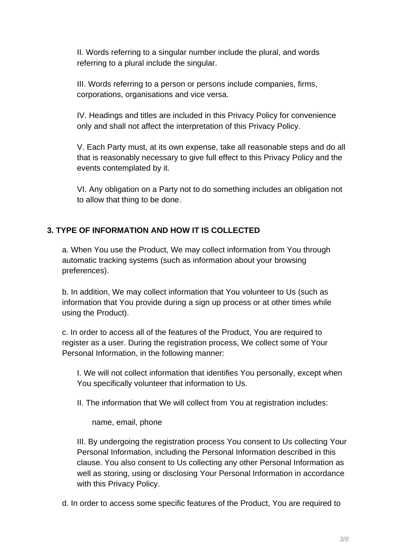II. Words referring to a singular number include the plural, and words referring to a plural include the singular.

III. Words referring to a person or persons include companies, firms, corporations, organisations and vice versa.

IV. Headings and titles are included in this Privacy Policy for convenience only and shall not affect the interpretation of this Privacy Policy.

V. Each Party must, at its own expense, take all reasonable steps and do all that is reasonably necessary to give full effect to this Privacy Policy and the events contemplated by it.

VI. Any obligation on a Party not to do something includes an obligation not to allow that thing to be done.

## **3. TYPE OF INFORMATION AND HOW IT IS COLLECTED**

a. When You use the Product, We may collect information from You through automatic tracking systems (such as information about your browsing preferences).

b. In addition, We may collect information that You volunteer to Us (such as information that You provide during a sign up process or at other times while using the Product).

c. In order to access all of the features of the Product, You are required to register as a user. During the registration process, We collect some of Your Personal Information, in the following manner:

I. We will not collect information that identifies You personally, except when You specifically volunteer that information to Us.

II. The information that We will collect from You at registration includes:

name, email, phone

III. By undergoing the registration process You consent to Us collecting Your Personal Information, including the Personal Information described in this clause. You also consent to Us collecting any other Personal Information as well as storing, using or disclosing Your Personal Information in accordance with this Privacy Policy.

d. In order to access some specific features of the Product, You are required to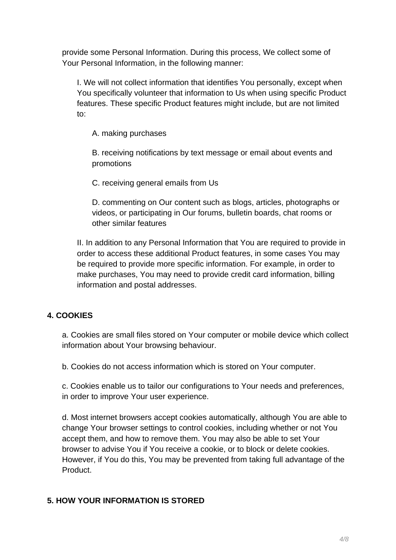provide some Personal Information. During this process, We collect some of Your Personal Information, in the following manner:

I. We will not collect information that identifies You personally, except when You specifically volunteer that information to Us when using specific Product features. These specific Product features might include, but are not limited to:

A. making purchases

B. receiving notifications by text message or email about events and promotions

C. receiving general emails from Us

D. commenting on Our content such as blogs, articles, photographs or videos, or participating in Our forums, bulletin boards, chat rooms or other similar features

II. In addition to any Personal Information that You are required to provide in order to access these additional Product features, in some cases You may be required to provide more specific information. For example, in order to make purchases, You may need to provide credit card information, billing information and postal addresses.

# **4. COOKIES**

a. Cookies are small files stored on Your computer or mobile device which collect information about Your browsing behaviour.

b. Cookies do not access information which is stored on Your computer.

c. Cookies enable us to tailor our configurations to Your needs and preferences, in order to improve Your user experience.

d. Most internet browsers accept cookies automatically, although You are able to change Your browser settings to control cookies, including whether or not You accept them, and how to remove them. You may also be able to set Your browser to advise You if You receive a cookie, or to block or delete cookies. However, if You do this, You may be prevented from taking full advantage of the Product.

# **5. HOW YOUR INFORMATION IS STORED**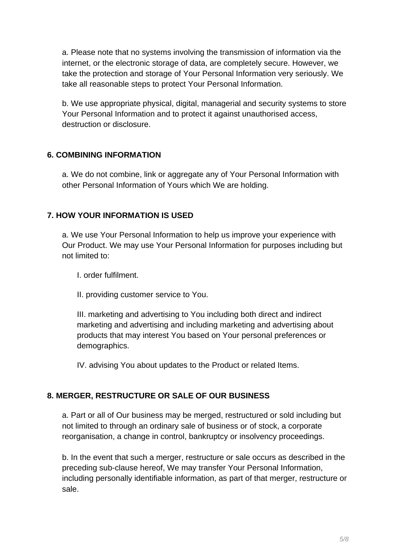a. Please note that no systems involving the transmission of information via the internet, or the electronic storage of data, are completely secure. However, we take the protection and storage of Your Personal Information very seriously. We take all reasonable steps to protect Your Personal Information.

b. We use appropriate physical, digital, managerial and security systems to store Your Personal Information and to protect it against unauthorised access, destruction or disclosure.

### **6. COMBINING INFORMATION**

a. We do not combine, link or aggregate any of Your Personal Information with other Personal Information of Yours which We are holding.

## **7. HOW YOUR INFORMATION IS USED**

a. We use Your Personal Information to help us improve your experience with Our Product. We may use Your Personal Information for purposes including but not limited to:

I. order fulfilment.

II. providing customer service to You.

III. marketing and advertising to You including both direct and indirect marketing and advertising and including marketing and advertising about products that may interest You based on Your personal preferences or demographics.

IV. advising You about updates to the Product or related Items.

## **8. MERGER, RESTRUCTURE OR SALE OF OUR BUSINESS**

a. Part or all of Our business may be merged, restructured or sold including but not limited to through an ordinary sale of business or of stock, a corporate reorganisation, a change in control, bankruptcy or insolvency proceedings.

b. In the event that such a merger, restructure or sale occurs as described in the preceding sub-clause hereof, We may transfer Your Personal Information, including personally identifiable information, as part of that merger, restructure or sale.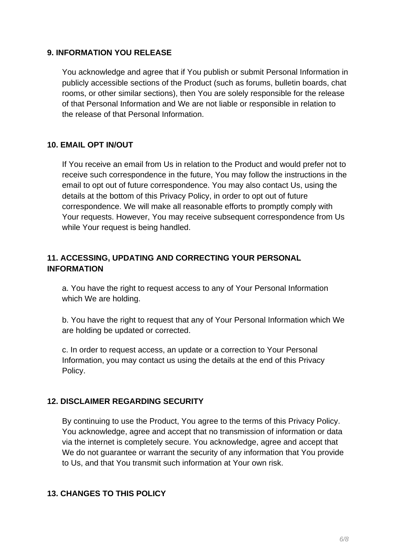#### **9. INFORMATION YOU RELEASE**

You acknowledge and agree that if You publish or submit Personal Information in publicly accessible sections of the Product (such as forums, bulletin boards, chat rooms, or other similar sections), then You are solely responsible for the release of that Personal Information and We are not liable or responsible in relation to the release of that Personal Information.

### **10. EMAIL OPT IN/OUT**

If You receive an email from Us in relation to the Product and would prefer not to receive such correspondence in the future, You may follow the instructions in the email to opt out of future correspondence. You may also contact Us, using the details at the bottom of this Privacy Policy, in order to opt out of future correspondence. We will make all reasonable efforts to promptly comply with Your requests. However, You may receive subsequent correspondence from Us while Your request is being handled.

## **11. ACCESSING, UPDATING AND CORRECTING YOUR PERSONAL INFORMATION**

a. You have the right to request access to any of Your Personal Information which We are holding.

b. You have the right to request that any of Your Personal Information which We are holding be updated or corrected.

c. In order to request access, an update or a correction to Your Personal Information, you may contact us using the details at the end of this Privacy Policy.

### **12. DISCLAIMER REGARDING SECURITY**

By continuing to use the Product, You agree to the terms of this Privacy Policy. You acknowledge, agree and accept that no transmission of information or data via the internet is completely secure. You acknowledge, agree and accept that We do not guarantee or warrant the security of any information that You provide to Us, and that You transmit such information at Your own risk.

## **13. CHANGES TO THIS POLICY**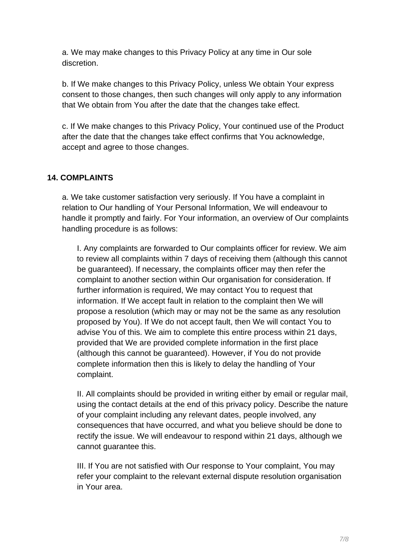a. We may make changes to this Privacy Policy at any time in Our sole discretion.

b. If We make changes to this Privacy Policy, unless We obtain Your express consent to those changes, then such changes will only apply to any information that We obtain from You after the date that the changes take effect.

c. If We make changes to this Privacy Policy, Your continued use of the Product after the date that the changes take effect confirms that You acknowledge, accept and agree to those changes.

### **14. COMPLAINTS**

a. We take customer satisfaction very seriously. If You have a complaint in relation to Our handling of Your Personal Information, We will endeavour to handle it promptly and fairly. For Your information, an overview of Our complaints handling procedure is as follows:

I. Any complaints are forwarded to Our complaints officer for review. We aim to review all complaints within 7 days of receiving them (although this cannot be guaranteed). If necessary, the complaints officer may then refer the complaint to another section within Our organisation for consideration. If further information is required, We may contact You to request that information. If We accept fault in relation to the complaint then We will propose a resolution (which may or may not be the same as any resolution proposed by You). If We do not accept fault, then We will contact You to advise You of this. We aim to complete this entire process within 21 days, provided that We are provided complete information in the first place (although this cannot be guaranteed). However, if You do not provide complete information then this is likely to delay the handling of Your complaint.

II. All complaints should be provided in writing either by email or regular mail, using the contact details at the end of this privacy policy. Describe the nature of your complaint including any relevant dates, people involved, any consequences that have occurred, and what you believe should be done to rectify the issue. We will endeavour to respond within 21 days, although we cannot guarantee this.

III. If You are not satisfied with Our response to Your complaint, You may refer your complaint to the relevant external dispute resolution organisation in Your area.